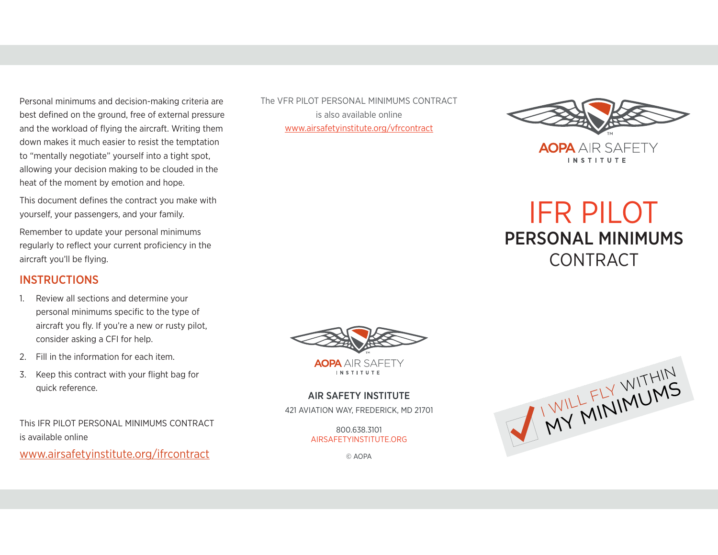Personal minimums and decision-making criteria are best defined on the ground, free of external pressure and the workload of flying the aircraft. Writing them down makes it much easier to resist the temptation to "mentally negotiate" yourself into a tight spot, allowing your decision making to be clouded in the heat of the moment by emotion and hope.

This document defines the contract you make with yourself, your passengers, and your family.

Remember to update your personal minimums regularly to reflect your current proficiency in the aircraft you'll be flying.

#### **INSTRUCTIONS**

- 1. Review all sections and determine your personal minimums specific to the type of aircraft you fly. If you're a new or rusty pilot, consider asking a CFI for help.
- 2. Fill in the information for each item.
- 3. Keep this contract with your flight bag for quick reference.

This IFR PILOT PERSONAL MINIMUMS CONTRACT is available online

www.airsafetyinstitute.org/ifrcontract

The VFR PILOT PERSONAL MINIMUMS CONTRACT is also available online www.airsafetyinstitute.org/vfrcontract



# IFR PILOT PERSONAL MINIMUMS **CONTRACT**



**AOPA** AIR SAFFTY **INSTITUTE** 

#### AIR SAFETY INSTITUTE

421 AVIATION WAY, FREDERICK, MD 21701

800.638.3101 AIRSAFETYINSTITUTE.ORG

© AOPA